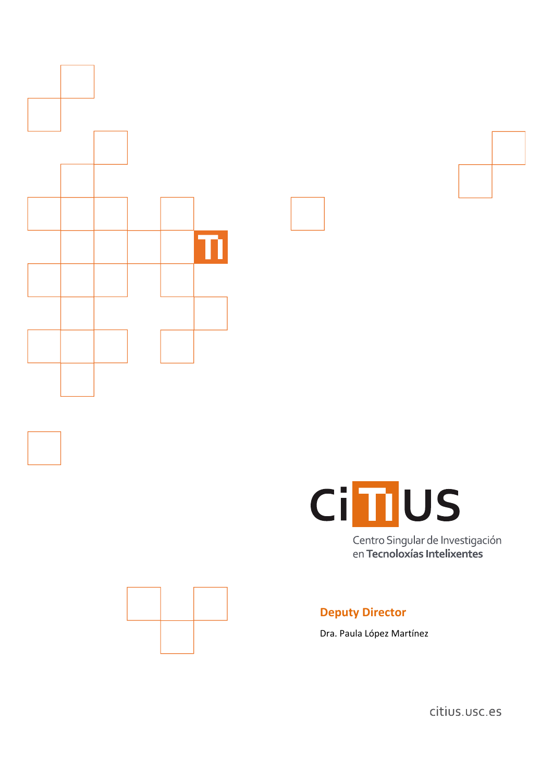



Centro Singular de Investigación en Tecnoloxías Intelixentes



# **Deputy Director**

Dra. Paula López Martínez

citius.usc.es